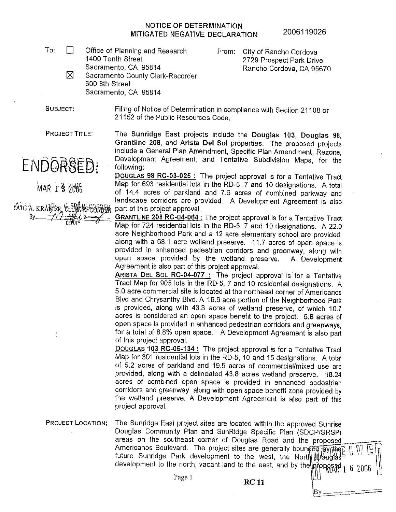## **NOTICE OF DETERMINATION MITIGATED NEGATIVE DECLARATION**

To:  $\Box$  Office of Planning and Research 1400 Tenth Street Sacramento, CA 95814 Rancho Cordova, CA 95670 600 8th Street

From: City of Rancho Cordova 2729 Prospect Park Drive

 $\times$  Sacramento County Clerk-Recorder Sacramento, CA 95814

SUBJECT: Filing of Notice of Determination in compliance with Section 21108 or 21152 of the Public Resources Code.

PROJECT TITLE:

ENDORSED:

MAR 1 3 2006

ATG A. KRAMER CLE By  $-44-14$ 

The Sunridge East projects include the Douglas 103, Douglas 98, **Grantline 208,** and **Arista Del Sol** properties. The proposed projects include a General Plan Amendment, Specific Plan Amendment, Rezone, Development Agreement, and Tentative Subdivision Maps, for the following:

DOUGLAS **98 RC-03-025** : The project approval is for a Tentative Tract Map for 693 residential lots in the RD-5, 7 and 10 designations. A total of 14.4 acres of parkland and 7 .6 acres of combined parkway and landscape corridors are provided. A Development Agreement is also part of this project approval.

**GRANTLINE 208 RC-04-064:** The project approval is for a Tentative Tract Map for 724 residential lots in the RD-5, 7 and 10 designations. A 22.0 acre Neighborhood Park and a 12 acre elementary school are provided, along with a 68.1 acre wetland preserve. 11.7 acres of open space is provided in enhanced pedestrian corridors and greenway, along with open space provided by the wetland preserve. A Development Agreement is also part of this project approval.

ARISTA DEL SOL RC-04-077 : The project approval is· for a Tentative Tract Map for 905 lots in the RD-5, 7 and 10 residential designations. A 5.0 acre commercial site is located at the northeast corner of Americanos Blvd and Chrysanthy Blvd. A 16.6 acre portion of the Neighborhood Park is provided, along with 43.3 acres of wetland preserve, of which 10.7 acres is considered an open space benefit to the project. 5.8 acres of open space is provided in enhanced pedestrian corridors and greenways, for a total of 8.8% open space. A Development Agreement is also part of this project approval.

DOUGLAS 103 RC-05-134 : The project approval is for a Tentative Tract Map for 301 residential lots in the RD-5, 10 and 15 designations. A total of 5.2 acres of parkland and 19.5 acres of commercial/mixed use are provided, along with a delineated 43.8 acres wetland preserve. 18.24 acres of combined open space is provided in enhanced pedestrian corridors and greenway, along with open space benefit zone provided by the wetland preserve. A Development Agreement is also part of this project approval.

PROJECT LOCATION: The Sunridge East project sites are located within the approved Sunrise Douglas Community Plan and SunRidge Specific Plan (SDCP/SRSP) areas on the southeast corner of Douglas Road and the proposed Americanos Boulevard. The project sites are generally bounded by the future Sunridge Park development to the west, the North pbbugfas development to the north, vacant land to the east, and by the  $\frac{1}{2}$  pags  $\frac{1}{6}$  2006

Page 1 **RC 11** [III]

*\§] \_\_\_\_\_\_\_\_* ·-•·--··---"--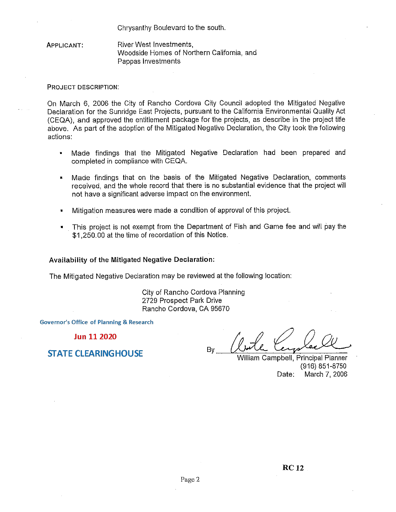Chrysanthy Boulevard to the south.

APPLICANT: River West Investments, Woodside Homes of Northern California, and Pappas Investments

## PROJECT DESCRIPTION:

On March 6, 2006 the City of Rancho Cordova City Council adopted the Mitigated Negative Declaration for the Sunridge East Projects, pursuant to the California Environmental Quality Act (CEQA), and approved the entitlement package for the projects, as describe in the project title above. As part of the adoption of the Mitigated Negative Declaration, the City took the following actions:

- Made findings that the Mitigated Negative Declaration had been prepared and completed in compliance with CEQA.
- Made findings that on the basis of the Mitigated Negative Declaration, comments received, and the whole record that there is no substantial evidence that the project will not have a significant adverse impact on the environment.
- Mitigation measures were made a condition of approval of this project.
- This project is not exempt from the Department of Fish and Game fee and will pay the \$1,250.00 at the time of recordation of this Notice.

## **Availability of the Mitigated Negative Declaration:**

The Mitigated Negative Declaration may be reviewed at the following location:

City of Rancho Cordova Planning 2729 Prospect Park Drive Rancho Cordova, CA 95670

**Governor's Office of Planning & Research** 

**Jun 11 2020** 

**STATE CLEARINGHOUSE** 

Drive<br>By *(butte Complex Complex Complex)*<br>William Campbell, Principal Planner

William Campbell, Principal Planner (916) 851-8750 Date: March 7, 2006